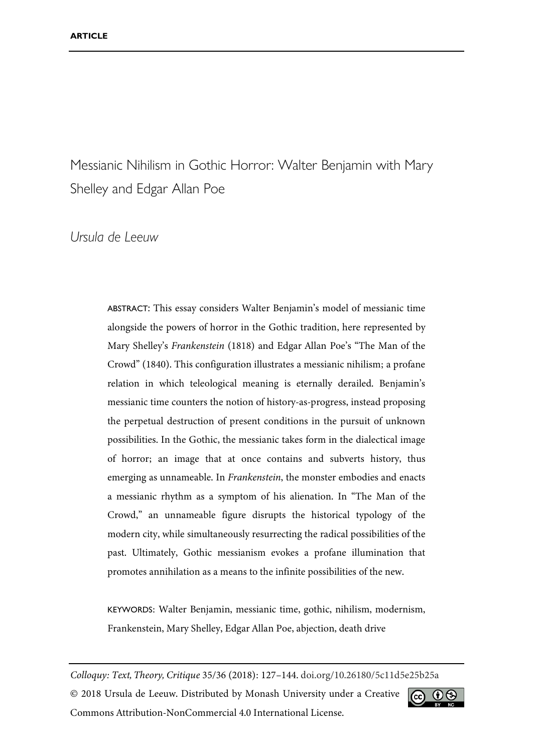Messianic Nihilism in Gothic Horror: Walter Benjamin with Mary Shelley and Edgar Allan Poe

## *Ursula de Leeuw*

ABSTRACT: This essay considers Walter Benjamin's model of messianic time alongside the powers of horror in the Gothic tradition, here represented by Mary Shelley's *Frankenstein* (1818) and Edgar Allan Poe's "The Man of the Crowd" (1840). This configuration illustrates a messianic nihilism; a profane relation in which teleological meaning is eternally derailed. Benjamin's messianic time counters the notion of history-as-progress, instead proposing the perpetual destruction of present conditions in the pursuit of unknown possibilities. In the Gothic, the messianic takes form in the dialectical image of horror; an image that at once contains and subverts history, thus emerging as unnameable. In *Frankenstein*, the monster embodies and enacts a messianic rhythm as a symptom of his alienation. In "The Man of the Crowd," an unnameable figure disrupts the historical typology of the modern city, while simultaneously resurrecting the radical possibilities of the past. Ultimately, Gothic messianism evokes a profane illumination that promotes annihilation as a means to the infinite possibilities of the new.

KEYWORDS: Walter Benjamin, messianic time, gothic, nihilism, modernism, Frankenstein, Mary Shelley, Edgar Allan Poe, abjection, death drive

*Colloquy: Text, Theory, Critique* 35/36 (2018): 127–144. [doi.org/10.26180/5c11d5e25b25a](https://doi.org/10.26180/5c11d5e25b25a) © 2018 Ursula de Leeuw. Distributed by Monash University under a Creative  $|$ (cc) Commons Attribution-NonCommercial 4.0 International License.

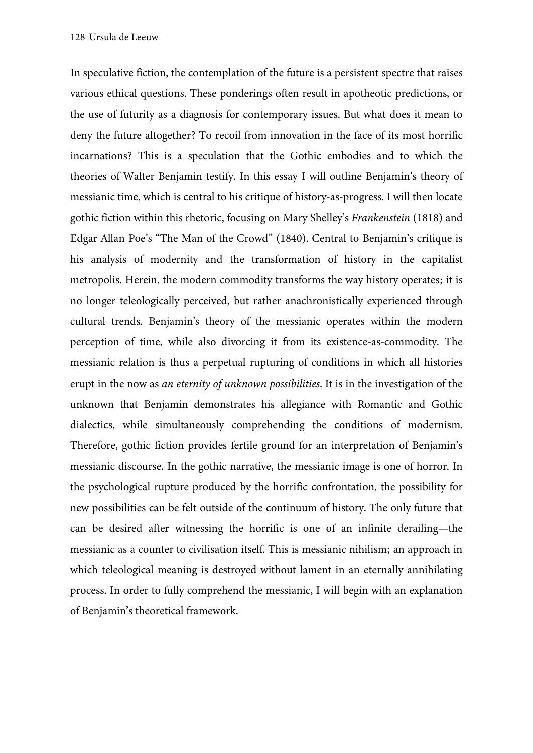In speculative fiction, the contemplation of the future is a persistent spectre that raises various ethical questions. These ponderings often result in apotheotic predictions, or the use of futurity as a diagnosis for contemporary issues. But what does it mean to deny the future altogether? To recoil from innovation in the face of its most horrific incarnations? This is a speculation that the Gothic embodies and to which the theories of Walter Benjamin testify. In this essay I will outline Benjamin's theory of messianic time, which is central to his critique of history-as-progress. I will then locate gothic fiction within this rhetoric, focusing on Mary Shelley's *Frankenstein* (1818) and Edgar Allan Poe's "The Man of the Crowd" (1840). Central to Benjamin's critique is his analysis of modernity and the transformation of history in the capitalist metropolis. Herein, the modern commodity transforms the way history operates; it is no longer teleologically perceived, but rather anachronistically experienced through cultural trends. Benjamin's theory of the messianic operates within the modern perception of time, while also divorcing it from its existence-as-commodity. The messianic relation is thus a perpetual rupturing of conditions in which all histories erupt in the now as *an eternity of unknown possibilities*. It is in the investigation of the unknown that Benjamin demonstrates his allegiance with Romantic and Gothic dialectics, while simultaneously comprehending the conditions of modernism. Therefore, gothic fiction provides fertile ground for an interpretation of Benjamin's messianic discourse. In the gothic narrative, the messianic image is one of horror. In the psychological rupture produced by the horrific confrontation, the possibility for new possibilities can be felt outside of the continuum of history. The only future that can be desired after witnessing the horrific is one of an infinite derailing—the messianic as a counter to civilisation itself. This is messianic nihilism; an approach in which teleological meaning is destroyed without lament in an eternally annihilating process. In order to fully comprehend the messianic, I will begin with an explanation of Benjamin's theoretical framework.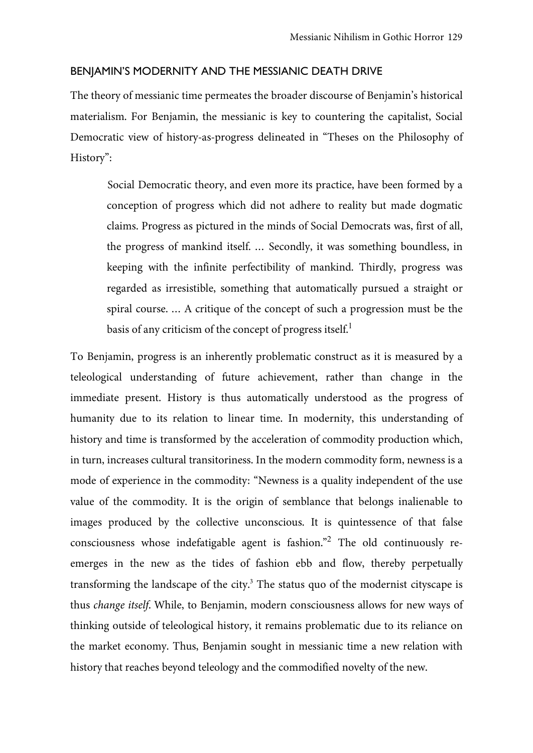#### BENJAMIN'S MODERNITY AND THE MESSIANIC DEATH DRIVE

The theory of messianic time permeates the broader discourse of Benjamin's historical materialism. For Benjamin, the messianic is key to countering the capitalist, Social Democratic view of history-as-progress delineated in "Theses on the Philosophy of History":

Social Democratic theory, and even more its practice, have been formed by a conception of progress which did not adhere to reality but made dogmatic claims. Progress as pictured in the minds of Social Democrats was, first of all, the progress of mankind itself. … Secondly, it was something boundless, in keeping with the infinite perfectibility of mankind. Thirdly, progress was regarded as irresistible, something that automatically pursued a straight or spiral course. … A critique of the concept of such a progression must be the basis of any criticism of the concept of progress itself.<sup>1</sup>

To Benjamin, progress is an inherently problematic construct as it is measured by a teleological understanding of future achievement, rather than change in the immediate present. History is thus automatically understood as the progress of humanity due to its relation to linear time. In modernity, this understanding of history and time is transformed by the acceleration of commodity production which, in turn, increases cultural transitoriness. In the modern commodity form, newness is a mode of experience in the commodity: "Newness is a quality independent of the use value of the commodity. It is the origin of semblance that belongs inalienable to images produced by the collective unconscious. It is quintessence of that false consciousness whose indefatigable agent is fashion." <sup>2</sup> The old continuously reemerges in the new as the tides of fashion ebb and flow, thereby perpetually transforming the landscape of the city. $3$  The status quo of the modernist cityscape is thus *change itself*. While, to Benjamin, modern consciousness allows for new ways of thinking outside of teleological history, it remains problematic due to its reliance on the market economy. Thus, Benjamin sought in messianic time a new relation with history that reaches beyond teleology and the commodified novelty of the new.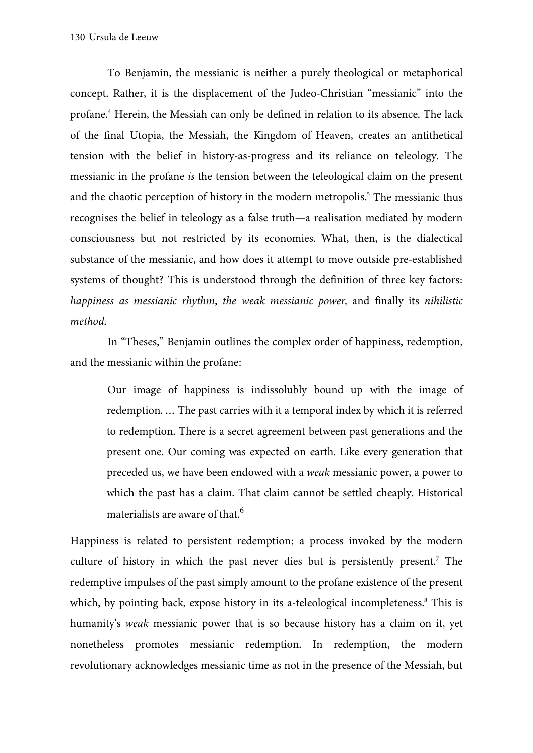To Benjamin, the messianic is neither a purely theological or metaphorical concept. Rather, it is the displacement of the Judeo-Christian "messianic" into the profane.4 Herein, the Messiah can only be defined in relation to its absence. The lack of the final Utopia, the Messiah, the Kingdom of Heaven, creates an antithetical tension with the belief in history-as-progress and its reliance on teleology. The messianic in the profane *is* the tension between the teleological claim on the present and the chaotic perception of history in the modern metropolis.<sup>5</sup> The messianic thus recognises the belief in teleology as a false truth—a realisation mediated by modern consciousness but not restricted by its economies. What, then, is the dialectical substance of the messianic, and how does it attempt to move outside pre-established systems of thought? This is understood through the definition of three key factors: *happiness as messianic rhythm*, *the weak messianic power,* and finally its *nihilistic method*.

In "Theses," Benjamin outlines the complex order of happiness, redemption, and the messianic within the profane:

Our image of happiness is indissolubly bound up with the image of redemption. … The past carries with it a temporal index by which it is referred to redemption. There is a secret agreement between past generations and the present one. Our coming was expected on earth. Like every generation that preceded us, we have been endowed with a *weak* messianic power, a power to which the past has a claim. That claim cannot be settled cheaply. Historical materialists are aware of that.<sup>6</sup>

Happiness is related to persistent redemption; a process invoked by the modern culture of history in which the past never dies but is persistently present.7 The redemptive impulses of the past simply amount to the profane existence of the present which, by pointing back, expose history in its a-teleological incompleteness.<sup>8</sup> This is humanity's *weak* messianic power that is so because history has a claim on it, yet nonetheless promotes messianic redemption. In redemption, the modern revolutionary acknowledges messianic time as not in the presence of the Messiah, but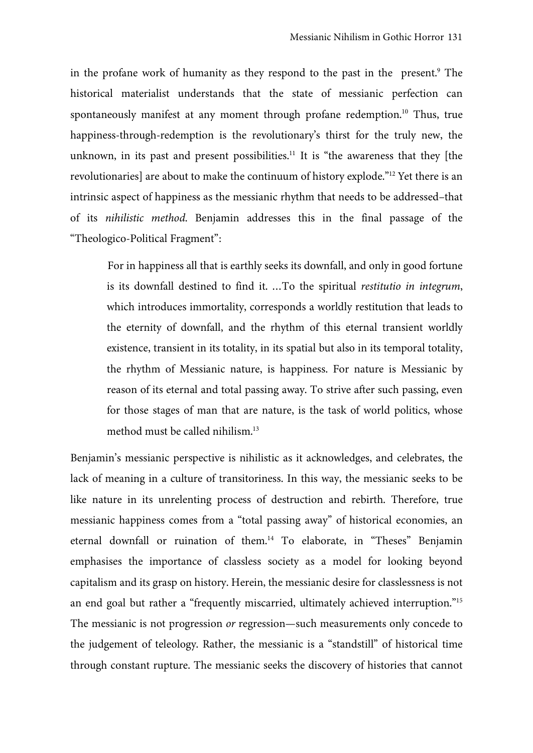in the profane work of humanity as they respond to the past in the present.<sup>9</sup> The historical materialist understands that the state of messianic perfection can spontaneously manifest at any moment through profane redemption.<sup>10</sup> Thus, true happiness-through-redemption is the revolutionary's thirst for the truly new, the unknown, in its past and present possibilities.<sup>11</sup> It is "the awareness that they [the revolutionaries] are about to make the continuum of history explode."<sup>12</sup> Yet there is an intrinsic aspect of happiness as the messianic rhythm that needs to be addressed–that of its *nihilistic method*. Benjamin addresses this in the final passage of the "Theologico-Political Fragment":

For in happiness all that is earthly seeks its downfall, and only in good fortune is its downfall destined to find it. …To the spiritual *restitutio in integrum*, which introduces immortality, corresponds a worldly restitution that leads to the eternity of downfall, and the rhythm of this eternal transient worldly existence, transient in its totality, in its spatial but also in its temporal totality, the rhythm of Messianic nature, is happiness. For nature is Messianic by reason of its eternal and total passing away. To strive after such passing, even for those stages of man that are nature, is the task of world politics, whose method must be called nihilism.<sup>13</sup>

Benjamin's messianic perspective is nihilistic as it acknowledges, and celebrates, the lack of meaning in a culture of transitoriness. In this way, the messianic seeks to be like nature in its unrelenting process of destruction and rebirth. Therefore, true messianic happiness comes from a "total passing away" of historical economies, an eternal downfall or ruination of them.14 To elaborate, in "Theses" Benjamin emphasises the importance of classless society as a model for looking beyond capitalism and its grasp on history. Herein, the messianic desire for classlessness is not an end goal but rather a "frequently miscarried, ultimately achieved interruption."15 The messianic is not progression *or* regression—such measurements only concede to the judgement of teleology. Rather, the messianic is a "standstill" of historical time through constant rupture. The messianic seeks the discovery of histories that cannot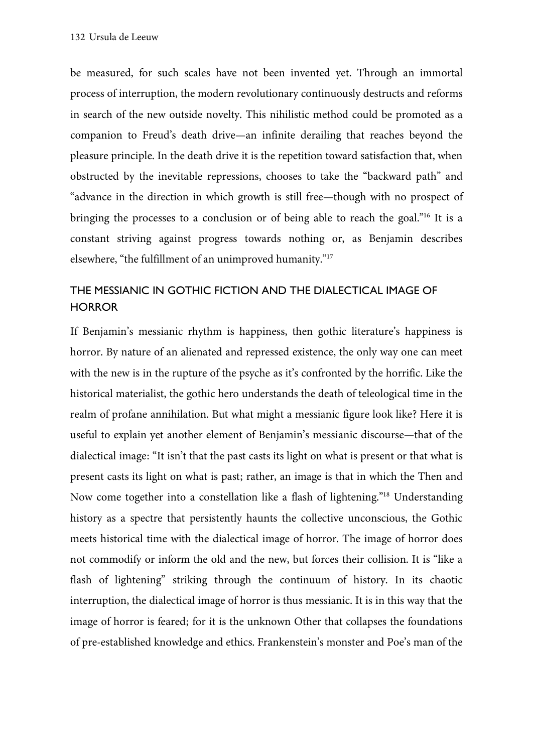be measured, for such scales have not been invented yet. Through an immortal process of interruption, the modern revolutionary continuously destructs and reforms in search of the new outside novelty. This nihilistic method could be promoted as a companion to Freud's death drive—an infinite derailing that reaches beyond the pleasure principle. In the death drive it is the repetition toward satisfaction that, when obstructed by the inevitable repressions, chooses to take the "backward path" and "advance in the direction in which growth is still free—though with no prospect of bringing the processes to a conclusion or of being able to reach the goal."<sup>16</sup> It is a constant striving against progress towards nothing or, as Benjamin describes elsewhere, "the fulfillment of an unimproved humanity."17

# THE MESSIANIC IN GOTHIC FICTION AND THE DIALECTICAL IMAGE OF **HORROR**

If Benjamin's messianic rhythm is happiness, then gothic literature's happiness is horror. By nature of an alienated and repressed existence, the only way one can meet with the new is in the rupture of the psyche as it's confronted by the horrific. Like the historical materialist, the gothic hero understands the death of teleological time in the realm of profane annihilation. But what might a messianic figure look like? Here it is useful to explain yet another element of Benjamin's messianic discourse—that of the dialectical image: "It isn't that the past casts its light on what is present or that what is present casts its light on what is past; rather, an image is that in which the Then and Now come together into a constellation like a flash of lightening."18 Understanding history as a spectre that persistently haunts the collective unconscious, the Gothic meets historical time with the dialectical image of horror. The image of horror does not commodify or inform the old and the new, but forces their collision. It is "like a flash of lightening" striking through the continuum of history. In its chaotic interruption, the dialectical image of horror is thus messianic. It is in this way that the image of horror is feared; for it is the unknown Other that collapses the foundations of pre-established knowledge and ethics. Frankenstein's monster and Poe's man of the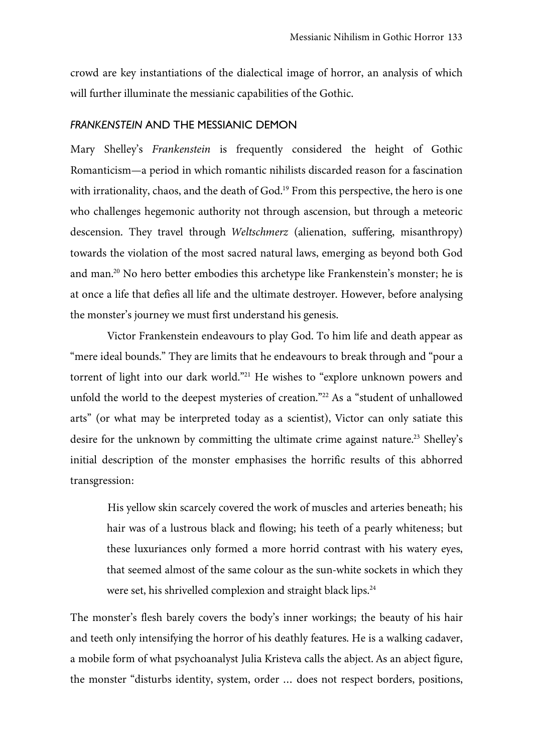crowd are key instantiations of the dialectical image of horror, an analysis of which will further illuminate the messianic capabilities of the Gothic.

#### *FRANKENSTEIN* AND THE MESSIANIC DEMON

Mary Shelley's *Frankenstein* is frequently considered the height of Gothic Romanticism—a period in which romantic nihilists discarded reason for a fascination with irrationality, chaos, and the death of God.<sup>19</sup> From this perspective, the hero is one who challenges hegemonic authority not through ascension, but through a meteoric descension. They travel through *Weltschmerz* (alienation, suffering, misanthropy) towards the violation of the most sacred natural laws, emerging as beyond both God and man.<sup>20</sup> No hero better embodies this archetype like Frankenstein's monster; he is at once a life that defies all life and the ultimate destroyer. However, before analysing the monster's journey we must first understand his genesis.

Victor Frankenstein endeavours to play God. To him life and death appear as "mere ideal bounds." They are limits that he endeavours to break through and "pour a torrent of light into our dark world."<sup>21</sup> He wishes to "explore unknown powers and unfold the world to the deepest mysteries of creation."22 As a "student of unhallowed arts" (or what may be interpreted today as a scientist), Victor can only satiate this desire for the unknown by committing the ultimate crime against nature.<sup>23</sup> Shelley's initial description of the monster emphasises the horrific results of this abhorred transgression:

His yellow skin scarcely covered the work of muscles and arteries beneath; his hair was of a lustrous black and flowing; his teeth of a pearly whiteness; but these luxuriances only formed a more horrid contrast with his watery eyes, that seemed almost of the same colour as the sun-white sockets in which they were set, his shrivelled complexion and straight black lips.<sup>24</sup>

The monster's flesh barely covers the body's inner workings; the beauty of his hair and teeth only intensifying the horror of his deathly features. He is a walking cadaver, a mobile form of what psychoanalyst Julia Kristeva calls the abject. As an abject figure, the monster "disturbs identity, system, order … does not respect borders, positions,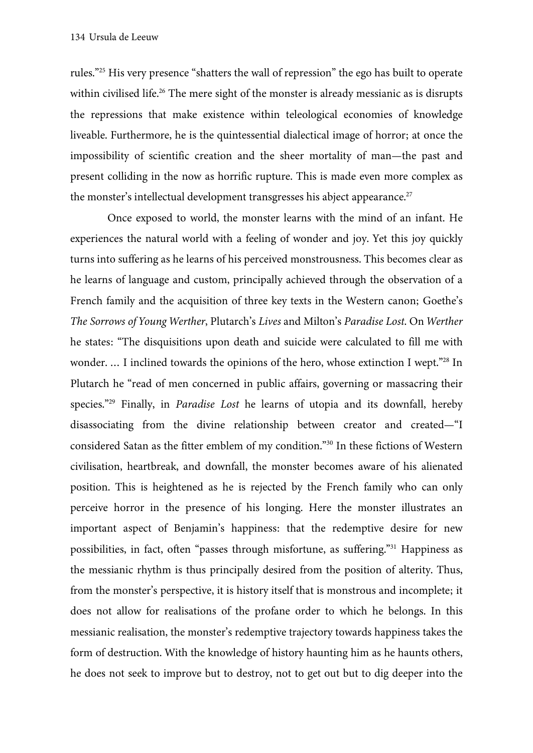rules."25 His very presence "shatters the wall of repression" the ego has built to operate within civilised life.<sup>26</sup> The mere sight of the monster is already messianic as is disrupts the repressions that make existence within teleological economies of knowledge liveable. Furthermore, he is the quintessential dialectical image of horror; at once the impossibility of scientific creation and the sheer mortality of man—the past and present colliding in the now as horrific rupture. This is made even more complex as the monster's intellectual development transgresses his abject appearance.<sup>27</sup>

Once exposed to world, the monster learns with the mind of an infant. He experiences the natural world with a feeling of wonder and joy. Yet this joy quickly turns into suffering as he learns of his perceived monstrousness. This becomes clear as he learns of language and custom, principally achieved through the observation of a French family and the acquisition of three key texts in the Western canon; Goethe's *The Sorrows of Young Werther*, Plutarch's *Lives* and Milton's *Paradise Lost*. On *Werther* he states: "The disquisitions upon death and suicide were calculated to fill me with wonder. ... I inclined towards the opinions of the hero, whose extinction I wept."<sup>28</sup> In Plutarch he "read of men concerned in public affairs, governing or massacring their species."29 Finally, in *Paradise Lost* he learns of utopia and its downfall, hereby disassociating from the divine relationship between creator and created—"I considered Satan as the fitter emblem of my condition."30 In these fictions of Western civilisation, heartbreak, and downfall, the monster becomes aware of his alienated position. This is heightened as he is rejected by the French family who can only perceive horror in the presence of his longing. Here the monster illustrates an important aspect of Benjamin's happiness: that the redemptive desire for new possibilities, in fact, often "passes through misfortune, as suffering."31 Happiness as the messianic rhythm is thus principally desired from the position of alterity. Thus, from the monster's perspective, it is history itself that is monstrous and incomplete; it does not allow for realisations of the profane order to which he belongs. In this messianic realisation, the monster's redemptive trajectory towards happiness takes the form of destruction. With the knowledge of history haunting him as he haunts others, he does not seek to improve but to destroy, not to get out but to dig deeper into the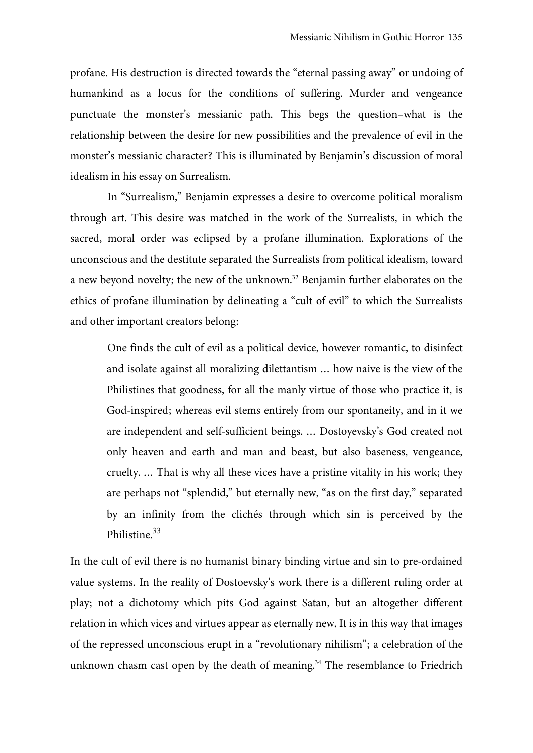profane. His destruction is directed towards the "eternal passing away" or undoing of humankind as a locus for the conditions of suffering. Murder and vengeance punctuate the monster's messianic path. This begs the question–what is the relationship between the desire for new possibilities and the prevalence of evil in the monster's messianic character? This is illuminated by Benjamin's discussion of moral idealism in his essay on Surrealism.

In "Surrealism," Benjamin expresses a desire to overcome political moralism through art. This desire was matched in the work of the Surrealists, in which the sacred, moral order was eclipsed by a profane illumination. Explorations of the unconscious and the destitute separated the Surrealists from political idealism, toward a new beyond novelty; the new of the unknown.32 Benjamin further elaborates on the ethics of profane illumination by delineating a "cult of evil" to which the Surrealists and other important creators belong:

One finds the cult of evil as a political device, however romantic, to disinfect and isolate against all moralizing dilettantism … how naive is the view of the Philistines that goodness, for all the manly virtue of those who practice it, is God-inspired; whereas evil stems entirely from our spontaneity, and in it we are independent and self-sufficient beings. … Dostoyevsky's God created not only heaven and earth and man and beast, but also baseness, vengeance, cruelty. … That is why all these vices have a pristine vitality in his work; they are perhaps not "splendid," but eternally new, "as on the first day," separated by an infinity from the clichés through which sin is perceived by the Philistine.<sup>33</sup>

In the cult of evil there is no humanist binary binding virtue and sin to pre-ordained value systems. In the reality of Dostoevsky's work there is a different ruling order at play; not a dichotomy which pits God against Satan, but an altogether different relation in which vices and virtues appear as eternally new. It is in this way that images of the repressed unconscious erupt in a "revolutionary nihilism"; a celebration of the unknown chasm cast open by the death of meaning.<sup>34</sup> The resemblance to Friedrich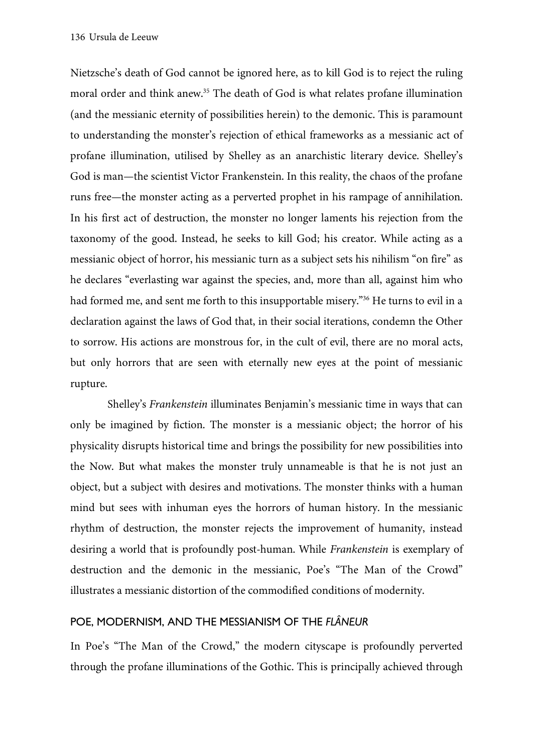Nietzsche's death of God cannot be ignored here, as to kill God is to reject the ruling moral order and think anew.<sup>35</sup> The death of God is what relates profane illumination (and the messianic eternity of possibilities herein) to the demonic. This is paramount to understanding the monster's rejection of ethical frameworks as a messianic act of profane illumination, utilised by Shelley as an anarchistic literary device. Shelley's God is man—the scientist Victor Frankenstein. In this reality, the chaos of the profane runs free—the monster acting as a perverted prophet in his rampage of annihilation. In his first act of destruction, the monster no longer laments his rejection from the taxonomy of the good. Instead, he seeks to kill God; his creator. While acting as a messianic object of horror, his messianic turn as a subject sets his nihilism "on fire" as he declares "everlasting war against the species, and, more than all, against him who had formed me, and sent me forth to this insupportable misery."<sup>36</sup> He turns to evil in a declaration against the laws of God that, in their social iterations, condemn the Other to sorrow. His actions are monstrous for, in the cult of evil, there are no moral acts, but only horrors that are seen with eternally new eyes at the point of messianic rupture.

Shelley's *Frankenstein* illuminates Benjamin's messianic time in ways that can only be imagined by fiction. The monster is a messianic object; the horror of his physicality disrupts historical time and brings the possibility for new possibilities into the Now. But what makes the monster truly unnameable is that he is not just an object, but a subject with desires and motivations. The monster thinks with a human mind but sees with inhuman eyes the horrors of human history. In the messianic rhythm of destruction, the monster rejects the improvement of humanity, instead desiring a world that is profoundly post-human. While *Frankenstein* is exemplary of destruction and the demonic in the messianic, Poe's "The Man of the Crowd" illustrates a messianic distortion of the commodified conditions of modernity.

### POE, MODERNISM, AND THE MESSIANISM OF THE *FLÂNEUR*

In Poe's "The Man of the Crowd," the modern cityscape is profoundly perverted through the profane illuminations of the Gothic. This is principally achieved through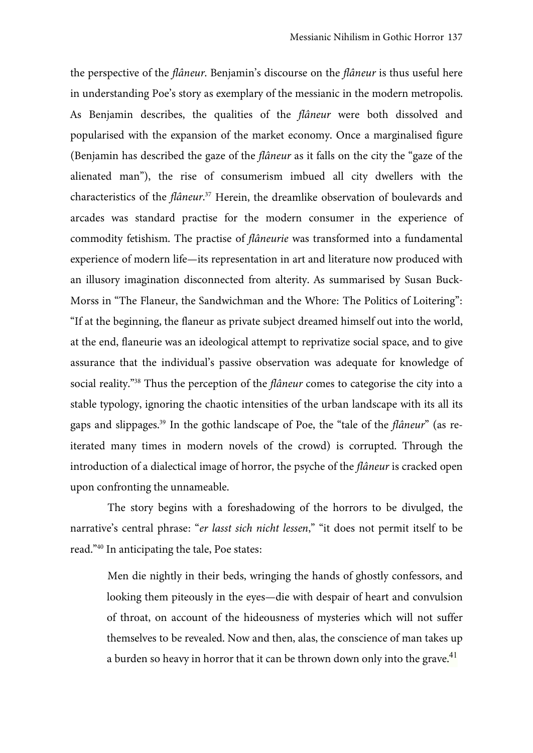the perspective of the *flâneur*. Benjamin's discourse on the *flâneur* is thus useful here in understanding Poe's story as exemplary of the messianic in the modern metropolis. As Benjamin describes, the qualities of the *flâneur* were both dissolved and popularised with the expansion of the market economy. Once a marginalised figure (Benjamin has described the gaze of the *flâneur* as it falls on the city the "gaze of the alienated man"), the rise of consumerism imbued all city dwellers with the characteristics of the *flâneur*. <sup>37</sup> Herein, the dreamlike observation of boulevards and arcades was standard practise for the modern consumer in the experience of commodity fetishism. The practise of *flâneurie* was transformed into a fundamental experience of modern life—its representation in art and literature now produced with an illusory imagination disconnected from alterity. As summarised by Susan Buck-Morss in "The Flaneur, the Sandwichman and the Whore: The Politics of Loitering": "If at the beginning, the flaneur as private subject dreamed himself out into the world, at the end, flaneurie was an ideological attempt to reprivatize social space, and to give assurance that the individual's passive observation was adequate for knowledge of social reality."38 Thus the perception of the *flâneur* comes to categorise the city into a stable typology, ignoring the chaotic intensities of the urban landscape with its all its gaps and slippages.39 In the gothic landscape of Poe, the "tale of the *flâneur*" (as reiterated many times in modern novels of the crowd) is corrupted. Through the introduction of a dialectical image of horror, the psyche of the *flâneur* is cracked open upon confronting the unnameable.

The story begins with a foreshadowing of the horrors to be divulged, the narrative's central phrase: "*er lasst sich nicht lessen*," "it does not permit itself to be read."40 In anticipating the tale, Poe states:

Men die nightly in their beds, wringing the hands of ghostly confessors, and looking them piteously in the eyes—die with despair of heart and convulsion of throat, on account of the hideousness of mysteries which will not suffer themselves to be revealed. Now and then, alas, the conscience of man takes up a burden so heavy in horror that it can be thrown down only into the grave. $^{41}$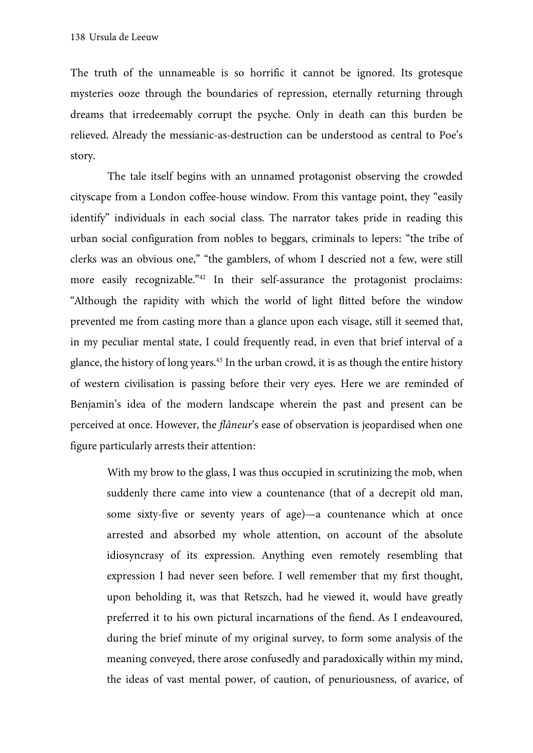The truth of the unnameable is so horrific it cannot be ignored. Its grotesque mysteries ooze through the boundaries of repression, eternally returning through dreams that irredeemably corrupt the psyche. Only in death can this burden be relieved. Already the messianic-as-destruction can be understood as central to Poe's story.

The tale itself begins with an unnamed protagonist observing the crowded cityscape from a London coffee-house window. From this vantage point, they "easily identify" individuals in each social class. The narrator takes pride in reading this urban social configuration from nobles to beggars, criminals to lepers: "the tribe of clerks was an obvious one," "the gamblers, of whom I descried not a few, were still more easily recognizable."<sup>42</sup> In their self-assurance the protagonist proclaims: "Although the rapidity with which the world of light flitted before the window prevented me from casting more than a glance upon each visage, still it seemed that, in my peculiar mental state, I could frequently read, in even that brief interval of a glance, the history of long years.43 In the urban crowd, it is as though the entire history of western civilisation is passing before their very eyes. Here we are reminded of Benjamin's idea of the modern landscape wherein the past and present can be perceived at once. However, the *flâneur*'s ease of observation is jeopardised when one figure particularly arrests their attention:

With my brow to the glass, I was thus occupied in scrutinizing the mob, when suddenly there came into view a countenance (that of a decrepit old man, some sixty-five or seventy years of age)—a countenance which at once arrested and absorbed my whole attention, on account of the absolute idiosyncrasy of its expression. Anything even remotely resembling that expression I had never seen before. I well remember that my first thought, upon beholding it, was that Retszch, had he viewed it, would have greatly preferred it to his own pictural incarnations of the fiend. As I endeavoured, during the brief minute of my original survey, to form some analysis of the meaning conveyed, there arose confusedly and paradoxically within my mind, the ideas of vast mental power, of caution, of penuriousness, of avarice, of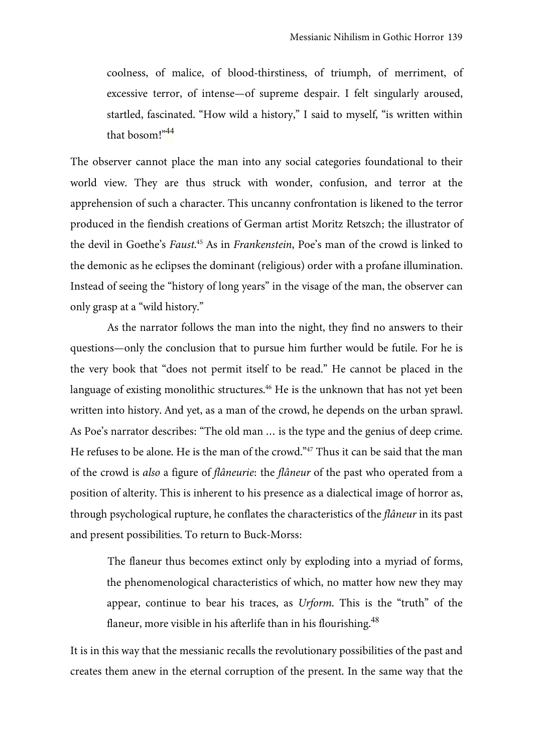coolness, of malice, of blood-thirstiness, of triumph, of merriment, of excessive terror, of intense—of supreme despair. I felt singularly aroused, startled, fascinated. "How wild a history," I said to myself, "is written within that bosom!"<sup>44</sup>

The observer cannot place the man into any social categories foundational to their world view. They are thus struck with wonder, confusion, and terror at the apprehension of such a character. This uncanny confrontation is likened to the terror produced in the fiendish creations of German artist Moritz Retszch; the illustrator of the devil in Goethe's *Faust*. <sup>45</sup> As in *Frankenstein*, Poe's man of the crowd is linked to the demonic as he eclipses the dominant (religious) order with a profane illumination. Instead of seeing the "history of long years" in the visage of the man, the observer can only grasp at a "wild history."

As the narrator follows the man into the night, they find no answers to their questions—only the conclusion that to pursue him further would be futile. For he is the very book that "does not permit itself to be read." He cannot be placed in the language of existing monolithic structures.<sup>46</sup> He is the unknown that has not yet been written into history. And yet, as a man of the crowd, he depends on the urban sprawl. As Poe's narrator describes: "The old man … is the type and the genius of deep crime. He refuses to be alone. He is the man of the crowd."<sup>47</sup> Thus it can be said that the man of the crowd is *also* a figure of *flâneurie*: the *flâneur* of the past who operated from a position of alterity. This is inherent to his presence as a dialectical image of horror as, through psychological rupture, he conflates the characteristics of the *flâneur* in its past and present possibilities. To return to Buck-Morss:

The flaneur thus becomes extinct only by exploding into a myriad of forms, the phenomenological characteristics of which, no matter how new they may appear, continue to bear his traces, as *Urform*. This is the "truth" of the flaneur, more visible in his afterlife than in his flourishing.<sup>48</sup>

It is in this way that the messianic recalls the revolutionary possibilities of the past and creates them anew in the eternal corruption of the present. In the same way that the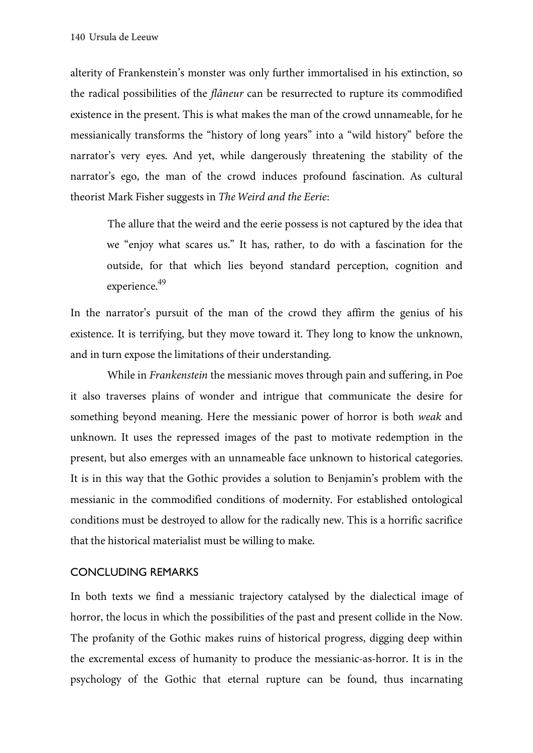alterity of Frankenstein's monster was only further immortalised in his extinction, so the radical possibilities of the *flâneur* can be resurrected to rupture its commodified existence in the present. This is what makes the man of the crowd unnameable, for he messianically transforms the "history of long years" into a "wild history" before the narrator's very eyes. And yet, while dangerously threatening the stability of the narrator's ego, the man of the crowd induces profound fascination. As cultural theorist Mark Fisher suggests in *The Weird and the Eerie*:

The allure that the weird and the eerie possess is not captured by the idea that we "enjoy what scares us." It has, rather, to do with a fascination for the outside, for that which lies beyond standard perception, cognition and experience.<sup>49</sup>

In the narrator's pursuit of the man of the crowd they affirm the genius of his existence. It is terrifying, but they move toward it. They long to know the unknown, and in turn expose the limitations of their understanding.

While in *Frankenstein* the messianic moves through pain and suffering, in Poe it also traverses plains of wonder and intrigue that communicate the desire for something beyond meaning. Here the messianic power of horror is both *weak* and unknown. It uses the repressed images of the past to motivate redemption in the present, but also emerges with an unnameable face unknown to historical categories. It is in this way that the Gothic provides a solution to Benjamin's problem with the messianic in the commodified conditions of modernity. For established ontological conditions must be destroyed to allow for the radically new. This is a horrific sacrifice that the historical materialist must be willing to make.

#### CONCLUDING REMARKS

In both texts we find a messianic trajectory catalysed by the dialectical image of horror, the locus in which the possibilities of the past and present collide in the Now. The profanity of the Gothic makes ruins of historical progress, digging deep within the excremental excess of humanity to produce the messianic-as-horror. It is in the psychology of the Gothic that eternal rupture can be found, thus incarnating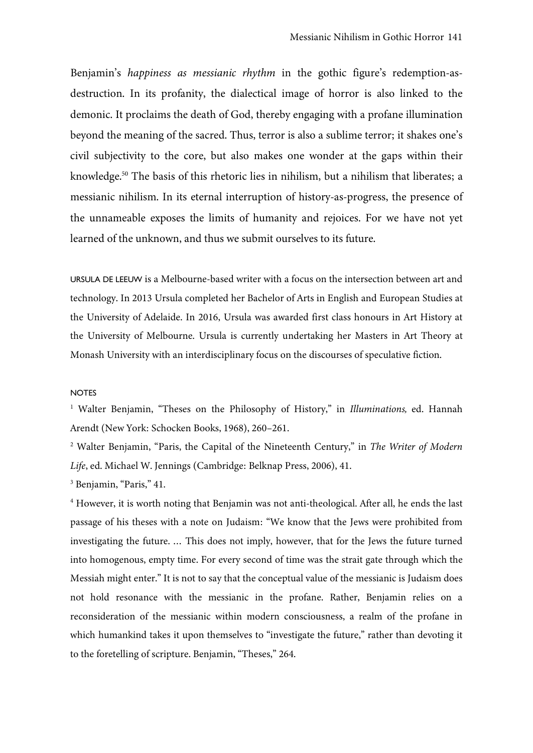Benjamin's *happiness as messianic rhythm* in the gothic figure's redemption-asdestruction. In its profanity, the dialectical image of horror is also linked to the demonic. It proclaims the death of God, thereby engaging with a profane illumination beyond the meaning of the sacred. Thus, terror is also a sublime terror; it shakes one's civil subjectivity to the core, but also makes one wonder at the gaps within their knowledge.<sup>50</sup> The basis of this rhetoric lies in nihilism, but a nihilism that liberates; a messianic nihilism. In its eternal interruption of history-as-progress, the presence of the unnameable exposes the limits of humanity and rejoices. For we have not yet learned of the unknown, and thus we submit ourselves to its future.

URSULA DE LEEUW is a Melbourne-based writer with a focus on the intersection between art and technology. In 2013 Ursula completed her Bachelor of Arts in English and European Studies at the University of Adelaide. In 2016, Ursula was awarded first class honours in Art History at the University of Melbourne. Ursula is currently undertaking her Masters in Art Theory at Monash University with an interdisciplinary focus on the discourses of speculative fiction.

#### NOTES

<sup>1</sup> Walter Benjamin, "Theses on the Philosophy of History," in *Illuminations,* ed. Hannah Arendt (New York: Schocken Books, 1968), 260–261.

<sup>2</sup> Walter Benjamin, "Paris, the Capital of the Nineteenth Century," in *The Writer of Modern Life*, ed. Michael W. Jennings (Cambridge: Belknap Press, 2006), 41.

<sup>3</sup> Benjamin, "Paris," 41.

<sup>4</sup> However, it is worth noting that Benjamin was not anti-theological. After all, he ends the last passage of his theses with a note on Judaism: "We know that the Jews were prohibited from investigating the future. … This does not imply, however, that for the Jews the future turned into homogenous, empty time. For every second of time was the strait gate through which the Messiah might enter." It is not to say that the conceptual value of the messianic is Judaism does not hold resonance with the messianic in the profane. Rather, Benjamin relies on a reconsideration of the messianic within modern consciousness, a realm of the profane in which humankind takes it upon themselves to "investigate the future," rather than devoting it to the foretelling of scripture. Benjamin, "Theses," 264.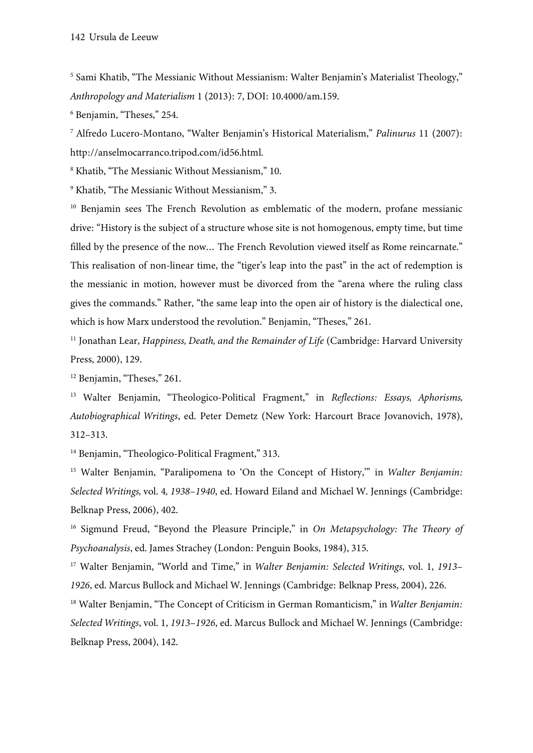<sup>5</sup> Sami Khatib, "The Messianic Without Messianism: Walter Benjamin's Materialist Theology," *Anthropology and Materialism* 1 (2013): 7, DOI: 10.4000/am.159.

<sup>6</sup> Benjamin, "Theses," 254.

<sup>7</sup> Alfredo Lucero-Montano, "Walter Benjamin's Historical Materialism," *Palinurus* 11 (2007): http://anselmocarranco.tripod.com/id56.html.

<sup>8</sup> Khatib, "The Messianic Without Messianism," 10.

<sup>9</sup> Khatib, "The Messianic Without Messianism," 3.

<sup>10</sup> Benjamin sees The French Revolution as emblematic of the modern, profane messianic drive: "History is the subject of a structure whose site is not homogenous, empty time, but time filled by the presence of the now… The French Revolution viewed itself as Rome reincarnate." This realisation of non-linear time, the "tiger's leap into the past" in the act of redemption is the messianic in motion, however must be divorced from the "arena where the ruling class gives the commands." Rather, "the same leap into the open air of history is the dialectical one, which is how Marx understood the revolution." Benjamin, "Theses," 261.

<sup>11</sup> Jonathan Lear, *Happiness, Death, and the Remainder of Life* (Cambridge: Harvard University Press, 2000), 129.

<sup>12</sup> Benjamin, "Theses," 261.

<sup>13</sup> Walter Benjamin, "Theologico-Political Fragment," in *Reflections: Essays, Aphorisms, Autobiographical Writings*, ed. Peter Demetz (New York: Harcourt Brace Jovanovich, 1978), 312–313.

<sup>14</sup> Benjamin, "Theologico-Political Fragment," 313.

<sup>15</sup> Walter Benjamin, "Paralipomena to 'On the Concept of History," in *Walter Benjamin: Selected Writings,* vol. 4*, 1938–1940*, ed. Howard Eiland and Michael W. Jennings (Cambridge: Belknap Press, 2006), 402.

<sup>16</sup> Sigmund Freud, "Beyond the Pleasure Principle," in *On Metapsychology: The Theory of Psychoanalysis*, ed. James Strachey (London: Penguin Books, 1984), 315.

<sup>17</sup> Walter Benjamin, "World and Time," in *Walter Benjamin: Selected Writings*, vol. 1, *1913– 1926*, ed. Marcus Bullock and Michael W. Jennings (Cambridge: Belknap Press, 2004), 226.

<sup>18</sup> Walter Benjamin, "The Concept of Criticism in German Romanticism," in *Walter Benjamin: Selected Writings*, vol. 1, *1913–1926*, ed. Marcus Bullock and Michael W. Jennings (Cambridge: Belknap Press, 2004), 142.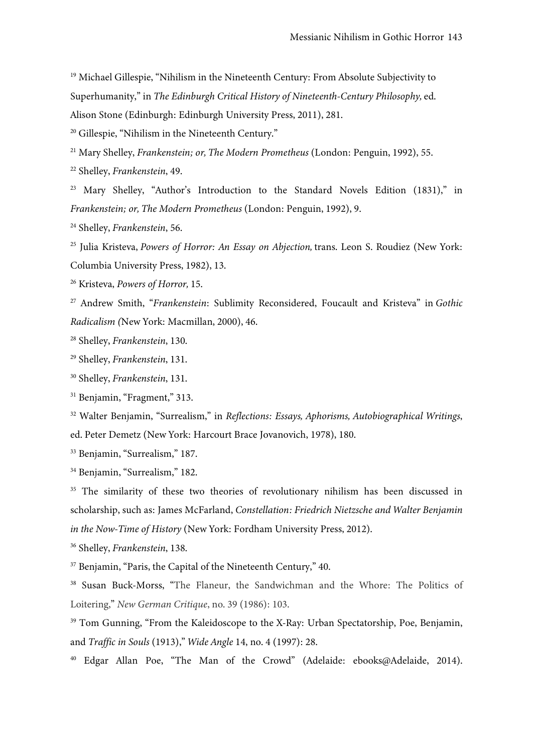<sup>19</sup> Michael Gillespie, "Nihilism in the Nineteenth Century: From Absolute Subjectivity to Superhumanity," in *The Edinburgh Critical History of Nineteenth-Century Philosophy,* ed. Alison Stone (Edinburgh: Edinburgh University Press, 2011), 281.

<sup>20</sup> Gillespie, "Nihilism in the Nineteenth Century."

<sup>21</sup> Mary Shelley, *Frankenstein; or, The Modern Prometheus* (London: Penguin, 1992), 55.

<sup>22</sup> Shelley, *Frankenstein*, 49.

<sup>23</sup> Mary Shelley, "Author's Introduction to the Standard Novels Edition (1831)," in *Frankenstein; or, The Modern Prometheus* (London: Penguin, 1992), 9.

<sup>24</sup> Shelley, *Frankenstein*, 56.

<sup>25</sup> Julia Kristeva, *Powers of Horror: An Essay on Abjection,* trans. Leon S. Roudiez (New York: Columbia University Press, 1982), 13.

<sup>26</sup> Kristeva, *Powers of Horror,* 15.

<sup>27</sup> Andrew Smith, "*Frankenstein*: Sublimity Reconsidered, Foucault and Kristeva" in *Gothic Radicalism (*New York: Macmillan, 2000), 46.

<sup>28</sup> Shelley, *Frankenstein*, 130.

<sup>29</sup> Shelley, *Frankenstein*, 131.

<sup>30</sup> Shelley, *Frankenstein*, 131.

<sup>31</sup> Benjamin, "Fragment," 313.

<sup>32</sup> Walter Benjamin, "Surrealism," in *Reflections: Essays, Aphorisms, Autobiographical Writings*, ed. Peter Demetz (New York: Harcourt Brace Jovanovich, 1978), 180.

<sup>33</sup> Benjamin, "Surrealism," 187.

<sup>34</sup> Benjamin, "Surrealism," 182.

<sup>35</sup> The similarity of these two theories of revolutionary nihilism has been discussed in scholarship, such as: James McFarland, *Constellation: Friedrich Nietzsche and Walter Benjamin in the Now-Time of History* (New York: Fordham University Press, 2012).

<sup>36</sup> Shelley, *Frankenstein*, 138.

<sup>37</sup> Benjamin, "Paris, the Capital of the Nineteenth Century," 40.

<sup>38</sup> Susan Buck-Morss, "The Flaneur, the Sandwichman and the Whore: The Politics of Loitering," *New German Critique*, no. 39 (1986): 103.

<sup>39</sup> Tom Gunning, "From the Kaleidoscope to the X-Ray: Urban Spectatorship, Poe, Benjamin, and *Traffic in Souls* (1913)," *Wide Angle* 14, no. 4 (1997): 28.

<sup>40</sup> Edgar Allan Poe, "The Man of the Crowd" (Adelaide: ebooks@Adelaide, 2014).